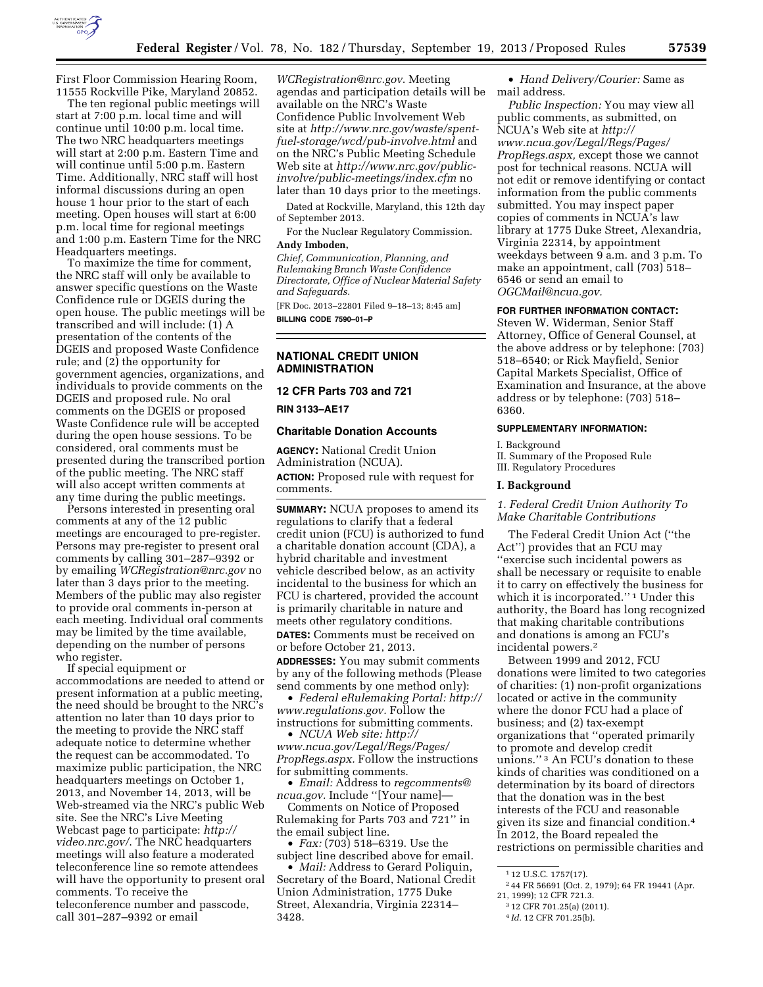

First Floor Commission Hearing Room, 11555 Rockville Pike, Maryland 20852.

The ten regional public meetings will start at 7:00 p.m. local time and will continue until 10:00 p.m. local time. The two NRC headquarters meetings will start at 2:00 p.m. Eastern Time and will continue until 5:00 p.m. Eastern Time. Additionally, NRC staff will host informal discussions during an open house 1 hour prior to the start of each meeting. Open houses will start at 6:00 p.m. local time for regional meetings and 1:00 p.m. Eastern Time for the NRC Headquarters meetings.

To maximize the time for comment, the NRC staff will only be available to answer specific questions on the Waste Confidence rule or DGEIS during the open house. The public meetings will be transcribed and will include: (1) A presentation of the contents of the DGEIS and proposed Waste Confidence rule; and (2) the opportunity for government agencies, organizations, and individuals to provide comments on the DGEIS and proposed rule. No oral comments on the DGEIS or proposed Waste Confidence rule will be accepted during the open house sessions. To be considered, oral comments must be presented during the transcribed portion of the public meeting. The NRC staff will also accept written comments at any time during the public meetings.

Persons interested in presenting oral comments at any of the 12 public meetings are encouraged to pre-register. Persons may pre-register to present oral comments by calling 301–287–9392 or by emailing *[WCRegistration@nrc.gov](mailto:WCRegistration@nrc.gov)* no later than 3 days prior to the meeting. Members of the public may also register to provide oral comments in-person at each meeting. Individual oral comments may be limited by the time available, depending on the number of persons who register.

If special equipment or accommodations are needed to attend or present information at a public meeting, the need should be brought to the NRC's attention no later than 10 days prior to the meeting to provide the NRC staff adequate notice to determine whether the request can be accommodated. To maximize public participation, the NRC headquarters meetings on October 1, 2013, and November 14, 2013, will be Web-streamed via the NRC's public Web site. See the NRC's Live Meeting Webcast page to participate: *[http://](http://video.nrc.gov/) [video.nrc.gov/](http://video.nrc.gov/)*. The NRC headquarters meetings will also feature a moderated teleconference line so remote attendees will have the opportunity to present oral comments. To receive the teleconference number and passcode, call 301–287–9392 or email

*[WCRegistration@nrc.gov](mailto:WCRegistration@nrc.gov)*. Meeting agendas and participation details will be available on the NRC's Waste Confidence Public Involvement Web site at *[http://www.nrc.gov/waste/spent](http://www.nrc.gov/waste/spent-fuel-storage/wcd/pub-involve.html)[fuel-storage/wcd/pub-involve.html](http://www.nrc.gov/waste/spent-fuel-storage/wcd/pub-involve.html)* and on the NRC's Public Meeting Schedule Web site at *[http://www.nrc.gov/public](http://www.nrc.gov/public-involve/public-meetings/index.cfm)[involve/public-meetings/index.cfm](http://www.nrc.gov/public-involve/public-meetings/index.cfm)* no later than 10 days prior to the meetings.

Dated at Rockville, Maryland, this 12th day of September 2013.

For the Nuclear Regulatory Commission.

# **Andy Imboden,**

*Chief, Communication, Planning, and Rulemaking Branch Waste Confidence Directorate, Office of Nuclear Material Safety and Safeguards.* 

[FR Doc. 2013–22801 Filed 9–18–13; 8:45 am] **BILLING CODE 7590–01–P** 

## **NATIONAL CREDIT UNION ADMINISTRATION**

**12 CFR Parts 703 and 721** 

**RIN 3133–AE17** 

### **Charitable Donation Accounts**

**AGENCY:** National Credit Union Administration (NCUA). **ACTION:** Proposed rule with request for comments.

**SUMMARY:** NCUA proposes to amend its regulations to clarify that a federal credit union (FCU) is authorized to fund a charitable donation account (CDA), a hybrid charitable and investment vehicle described below, as an activity incidental to the business for which an FCU is chartered, provided the account is primarily charitable in nature and meets other regulatory conditions. **DATES:** Comments must be received on or before October 21, 2013.

**ADDRESSES:** You may submit comments by any of the following methods (Please send comments by one method only):

• *Federal eRulemaking Portal: [http://](http://www.regulations.gov)  [www.regulations.gov.](http://www.regulations.gov)* Follow the instructions for submitting comments.

• *NCUA Web site: [http://](http://www.ncua.gov/Legal/Regs/Pages/PropRegs.aspx) [www.ncua.gov/Legal/Regs/Pages/](http://www.ncua.gov/Legal/Regs/Pages/PropRegs.aspx) [PropRegs.aspx.](http://www.ncua.gov/Legal/Regs/Pages/PropRegs.aspx)* Follow the instructions for submitting comments.

• *Email:* Address to *[regcomments@](mailto:regcomments@ncua.gov) [ncua.gov.](mailto:regcomments@ncua.gov)* Include ''[Your name]—

Comments on Notice of Proposed Rulemaking for Parts 703 and 721'' in the email subject line.

• *Fax:* (703) 518–6319. Use the subject line described above for email.

• *Mail:* Address to Gerard Poliquin, Secretary of the Board, National Credit Union Administration, 1775 Duke Street, Alexandria, Virginia 22314– 3428.

• *Hand Delivery/Courier:* Same as mail address.

*Public Inspection:* You may view all public comments, as submitted, on NCUA's Web site at *[http://](http://www.ncua.gov/Legal/Regs/Pages/PropRegs.aspx) [www.ncua.gov/Legal/Regs/Pages/](http://www.ncua.gov/Legal/Regs/Pages/PropRegs.aspx) [PropRegs.aspx,](http://www.ncua.gov/Legal/Regs/Pages/PropRegs.aspx)* except those we cannot post for technical reasons. NCUA will not edit or remove identifying or contact information from the public comments submitted. You may inspect paper copies of comments in NCUA's law library at 1775 Duke Street, Alexandria, Virginia 22314, by appointment weekdays between 9 a.m. and 3 p.m. To make an appointment, call (703) 518– 6546 or send an email to *[OGCMail@ncua.gov.](mailto:OGCMail@ncua.gov)* 

# **FOR FURTHER INFORMATION CONTACT:**

Steven W. Widerman, Senior Staff Attorney, Office of General Counsel, at the above address or by telephone: (703) 518–6540; or Rick Mayfield, Senior Capital Markets Specialist, Office of Examination and Insurance, at the above address or by telephone: (703) 518– 6360.

## **SUPPLEMENTARY INFORMATION:**

I. Background

II. Summary of the Proposed Rule III. Regulatory Procedures

### **I. Background**

*1. Federal Credit Union Authority To Make Charitable Contributions* 

The Federal Credit Union Act (''the Act'') provides that an FCU may ''exercise such incidental powers as shall be necessary or requisite to enable it to carry on effectively the business for which it is incorporated.'' 1 Under this authority, the Board has long recognized that making charitable contributions and donations is among an FCU's incidental powers.2

Between 1999 and 2012, FCU donations were limited to two categories of charities: (1) non-profit organizations located or active in the community where the donor FCU had a place of business; and (2) tax-exempt organizations that ''operated primarily to promote and develop credit unions.'' 3 An FCU's donation to these kinds of charities was conditioned on a determination by its board of directors that the donation was in the best interests of the FCU and reasonable given its size and financial condition.4 In 2012, the Board repealed the restrictions on permissible charities and

2 44 FR 56691 (Oct. 2, 1979); 64 FR 19441 (Apr. 21, 1999); 12 CFR 721.3.

4 *Id.* 12 CFR 701.25(b).

<sup>1</sup> 12 U.S.C. 1757(17).

<sup>3</sup> 12 CFR 701.25(a) (2011).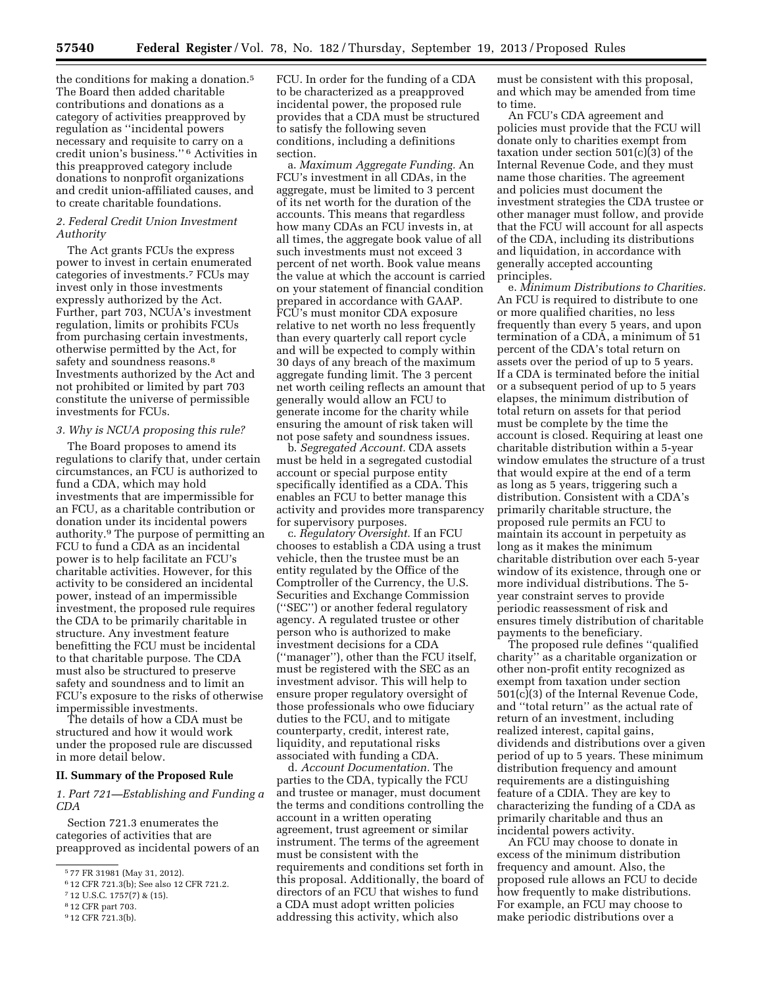the conditions for making a donation.<sup>5</sup> The Board then added charitable contributions and donations as a category of activities preapproved by regulation as ''incidental powers necessary and requisite to carry on a credit union's business.'' 6 Activities in this preapproved category include donations to nonprofit organizations and credit union-affiliated causes, and to create charitable foundations.

# *2. Federal Credit Union Investment Authority*

The Act grants FCUs the express power to invest in certain enumerated categories of investments.7 FCUs may invest only in those investments expressly authorized by the Act. Further, part 703, NCUA's investment regulation, limits or prohibits FCUs from purchasing certain investments, otherwise permitted by the Act, for safety and soundness reasons.<sup>8</sup> Investments authorized by the Act and not prohibited or limited by part 703 constitute the universe of permissible investments for FCUs.

# *3. Why is NCUA proposing this rule?*

The Board proposes to amend its regulations to clarify that, under certain circumstances, an FCU is authorized to fund a CDA, which may hold investments that are impermissible for an FCU, as a charitable contribution or donation under its incidental powers authority.9 The purpose of permitting an FCU to fund a CDA as an incidental power is to help facilitate an FCU's charitable activities. However, for this activity to be considered an incidental power, instead of an impermissible investment, the proposed rule requires the CDA to be primarily charitable in structure. Any investment feature benefitting the FCU must be incidental to that charitable purpose. The CDA must also be structured to preserve safety and soundness and to limit an FCU's exposure to the risks of otherwise impermissible investments.

The details of how a CDA must be structured and how it would work under the proposed rule are discussed in more detail below.

### **II. Summary of the Proposed Rule**

*1. Part 721—Establishing and Funding a CDA* 

Section 721.3 enumerates the categories of activities that are preapproved as incidental powers of an

9 12 CFR 721.3(b).

FCU. In order for the funding of a CDA to be characterized as a preapproved incidental power, the proposed rule provides that a CDA must be structured to satisfy the following seven conditions, including a definitions section.

a. *Maximum Aggregate Funding.* An FCU's investment in all CDAs, in the aggregate, must be limited to 3 percent of its net worth for the duration of the accounts. This means that regardless how many CDAs an FCU invests in, at all times, the aggregate book value of all such investments must not exceed 3 percent of net worth. Book value means the value at which the account is carried on your statement of financial condition prepared in accordance with GAAP. FCU's must monitor CDA exposure relative to net worth no less frequently than every quarterly call report cycle and will be expected to comply within 30 days of any breach of the maximum aggregate funding limit. The 3 percent net worth ceiling reflects an amount that generally would allow an FCU to generate income for the charity while ensuring the amount of risk taken will not pose safety and soundness issues.

b. *Segregated Account.* CDA assets must be held in a segregated custodial account or special purpose entity specifically identified as a CDA. This enables an FCU to better manage this activity and provides more transparency for supervisory purposes.

c. *Regulatory Oversight.* If an FCU chooses to establish a CDA using a trust vehicle, then the trustee must be an entity regulated by the Office of the Comptroller of the Currency, the U.S. Securities and Exchange Commission (''SEC'') or another federal regulatory agency. A regulated trustee or other person who is authorized to make investment decisions for a CDA (''manager''), other than the FCU itself, must be registered with the SEC as an investment advisor. This will help to ensure proper regulatory oversight of those professionals who owe fiduciary duties to the FCU, and to mitigate counterparty, credit, interest rate, liquidity, and reputational risks associated with funding a CDA.

d. *Account Documentation.* The parties to the CDA, typically the FCU and trustee or manager, must document the terms and conditions controlling the account in a written operating agreement, trust agreement or similar instrument. The terms of the agreement must be consistent with the requirements and conditions set forth in this proposal. Additionally, the board of directors of an FCU that wishes to fund a CDA must adopt written policies addressing this activity, which also

must be consistent with this proposal, and which may be amended from time to time.

An FCU's CDA agreement and policies must provide that the FCU will donate only to charities exempt from taxation under section 501(c)(3) of the Internal Revenue Code, and they must name those charities. The agreement and policies must document the investment strategies the CDA trustee or other manager must follow, and provide that the FCU will account for all aspects of the CDA, including its distributions and liquidation, in accordance with generally accepted accounting principles.

e. *Minimum Distributions to Charities.*  An FCU is required to distribute to one or more qualified charities, no less frequently than every 5 years, and upon termination of a CDA, a minimum of 51 percent of the CDA's total return on assets over the period of up to 5 years. If a CDA is terminated before the initial or a subsequent period of up to 5 years elapses, the minimum distribution of total return on assets for that period must be complete by the time the account is closed. Requiring at least one charitable distribution within a 5-year window emulates the structure of a trust that would expire at the end of a term as long as 5 years, triggering such a distribution. Consistent with a CDA's primarily charitable structure, the proposed rule permits an FCU to maintain its account in perpetuity as long as it makes the minimum charitable distribution over each 5-year window of its existence, through one or more individual distributions. The 5 year constraint serves to provide periodic reassessment of risk and ensures timely distribution of charitable payments to the beneficiary.

The proposed rule defines ''qualified charity'' as a charitable organization or other non-profit entity recognized as exempt from taxation under section 501(c)(3) of the Internal Revenue Code, and ''total return'' as the actual rate of return of an investment, including realized interest, capital gains, dividends and distributions over a given period of up to 5 years. These minimum distribution frequency and amount requirements are a distinguishing feature of a CDIA. They are key to characterizing the funding of a CDA as primarily charitable and thus an incidental powers activity.

An FCU may choose to donate in excess of the minimum distribution frequency and amount. Also, the proposed rule allows an FCU to decide how frequently to make distributions. For example, an FCU may choose to make periodic distributions over a

<sup>5</sup> 77 FR 31981 (May 31, 2012).

<sup>6</sup> 12 CFR 721.3(b); See also 12 CFR 721.2.

<sup>7</sup> 12 U.S.C. 1757(7) & (15).

<sup>8</sup> 12 CFR part 703.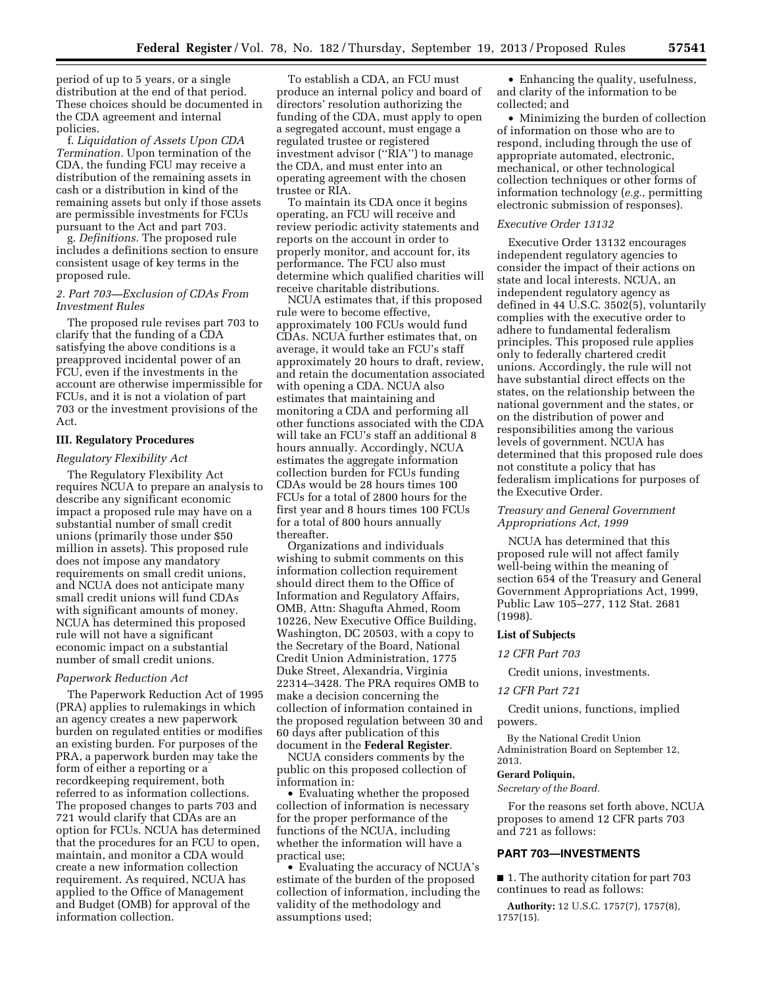period of up to 5 years, or a single distribution at the end of that period. These choices should be documented in the CDA agreement and internal policies.

f. *Liquidation of Assets Upon CDA Termination.* Upon termination of the CDA, the funding FCU may receive a distribution of the remaining assets in cash or a distribution in kind of the remaining assets but only if those assets are permissible investments for FCUs pursuant to the Act and part 703.

g. *Definitions.* The proposed rule includes a definitions section to ensure consistent usage of key terms in the proposed rule.

# *2. Part 703—Exclusion of CDAs From Investment Rules*

The proposed rule revises part 703 to clarify that the funding of a CDA satisfying the above conditions is a preapproved incidental power of an FCU, even if the investments in the account are otherwise impermissible for FCUs, and it is not a violation of part 703 or the investment provisions of the Act.

## **III. Regulatory Procedures**

## *Regulatory Flexibility Act*

The Regulatory Flexibility Act requires NCUA to prepare an analysis to describe any significant economic impact a proposed rule may have on a substantial number of small credit unions (primarily those under \$50 million in assets). This proposed rule does not impose any mandatory requirements on small credit unions, and NCUA does not anticipate many small credit unions will fund CDAs with significant amounts of money. NCUA has determined this proposed rule will not have a significant economic impact on a substantial number of small credit unions.

## *Paperwork Reduction Act*

The Paperwork Reduction Act of 1995 (PRA) applies to rulemakings in which an agency creates a new paperwork burden on regulated entities or modifies an existing burden. For purposes of the PRA, a paperwork burden may take the form of either a reporting or a recordkeeping requirement, both referred to as information collections. The proposed changes to parts 703 and 721 would clarify that CDAs are an option for FCUs. NCUA has determined that the procedures for an FCU to open, maintain, and monitor a CDA would create a new information collection requirement. As required, NCUA has applied to the Office of Management and Budget (OMB) for approval of the information collection.

To establish a CDA, an FCU must produce an internal policy and board of directors' resolution authorizing the funding of the CDA, must apply to open a segregated account, must engage a regulated trustee or registered investment advisor (''RIA'') to manage the CDA, and must enter into an operating agreement with the chosen trustee or RIA.

To maintain its CDA once it begins operating, an FCU will receive and review periodic activity statements and reports on the account in order to properly monitor, and account for, its performance. The FCU also must determine which qualified charities will receive charitable distributions.

NCUA estimates that, if this proposed rule were to become effective, approximately 100 FCUs would fund CDAs. NCUA further estimates that, on average, it would take an FCU's staff approximately 20 hours to draft, review, and retain the documentation associated with opening a CDA. NCUA also estimates that maintaining and monitoring a CDA and performing all other functions associated with the CDA will take an FCU's staff an additional 8 hours annually. Accordingly, NCUA estimates the aggregate information collection burden for FCUs funding CDAs would be 28 hours times 100 FCUs for a total of 2800 hours for the first year and 8 hours times 100 FCUs for a total of 800 hours annually thereafter.

Organizations and individuals wishing to submit comments on this information collection requirement should direct them to the Office of Information and Regulatory Affairs, OMB, Attn: Shagufta Ahmed, Room 10226, New Executive Office Building, Washington, DC 20503, with a copy to the Secretary of the Board, National Credit Union Administration, 1775 Duke Street, Alexandria, Virginia 22314–3428. The PRA requires OMB to make a decision concerning the collection of information contained in the proposed regulation between 30 and 60 days after publication of this document in the **Federal Register**.

NCUA considers comments by the public on this proposed collection of information in:

• Evaluating whether the proposed collection of information is necessary for the proper performance of the functions of the NCUA, including whether the information will have a practical use;

• Evaluating the accuracy of NCUA's estimate of the burden of the proposed collection of information, including the validity of the methodology and assumptions used;

• Enhancing the quality, usefulness, and clarity of the information to be collected; and

• Minimizing the burden of collection of information on those who are to respond, including through the use of appropriate automated, electronic, mechanical, or other technological collection techniques or other forms of information technology (*e.g.,* permitting electronic submission of responses).

## *Executive Order 13132*

Executive Order 13132 encourages independent regulatory agencies to consider the impact of their actions on state and local interests. NCUA, an independent regulatory agency as defined in 44 U.S.C. 3502(5), voluntarily complies with the executive order to adhere to fundamental federalism principles. This proposed rule applies only to federally chartered credit unions. Accordingly, the rule will not have substantial direct effects on the states, on the relationship between the national government and the states, or on the distribution of power and responsibilities among the various levels of government. NCUA has determined that this proposed rule does not constitute a policy that has federalism implications for purposes of the Executive Order.

# *Treasury and General Government Appropriations Act, 1999*

NCUA has determined that this proposed rule will not affect family well-being within the meaning of section 654 of the Treasury and General Government Appropriations Act, 1999, Public Law 105–277, 112 Stat. 2681 (1998).

#### **List of Subjects**

#### *12 CFR Part 703*

Credit unions, investments.

### *12 CFR Part 721*

Credit unions, functions, implied powers.

By the National Credit Union Administration Board on September 12, 2013.

#### **Gerard Poliquin,**

*Secretary of the Board.* 

For the reasons set forth above, NCUA proposes to amend 12 CFR parts 703 and 721 as follows:

## **PART 703—INVESTMENTS**

■ 1. The authority citation for part 703 continues to read as follows:

**Authority:** 12 U.S.C. 1757(7), 1757(8), 1757(15).